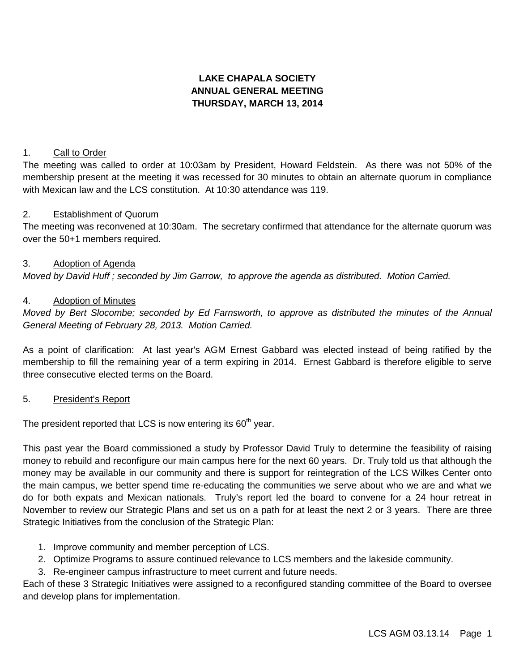# **LAKE CHAPALA SOCIETY ANNUAL GENERAL MEETING THURSDAY, MARCH 13, 2014**

### 1. Call to Order

The meeting was called to order at 10:03am by President, Howard Feldstein. As there was not 50% of the membership present at the meeting it was recessed for 30 minutes to obtain an alternate quorum in compliance with Mexican law and the LCS constitution. At 10:30 attendance was 119.

#### 2. Establishment of Quorum

The meeting was reconvened at 10:30am. The secretary confirmed that attendance for the alternate quorum was over the 50+1 members required.

### 3. Adoption of Agenda

*Moved by David Huff ; seconded by Jim Garrow, to approve the agenda as distributed. Motion Carried.*

### 4. Adoption of Minutes

*Moved by Bert Slocombe; seconded by Ed Farnsworth, to approve as distributed the minutes of the Annual General Meeting of February 28, 2013. Motion Carried.*

As a point of clarification: At last year's AGM Ernest Gabbard was elected instead of being ratified by the membership to fill the remaining year of a term expiring in 2014. Ernest Gabbard is therefore eligible to serve three consecutive elected terms on the Board.

### 5. President's Report

The president reported that LCS is now entering its  $60<sup>th</sup>$  year.

This past year the Board commissioned a study by Professor David Truly to determine the feasibility of raising money to rebuild and reconfigure our main campus here for the next 60 years. Dr. Truly told us that although the money may be available in our community and there is support for reintegration of the LCS Wilkes Center onto the main campus, we better spend time re-educating the communities we serve about who we are and what we do for both expats and Mexican nationals. Truly's report led the board to convene for a 24 hour retreat in November to review our Strategic Plans and set us on a path for at least the next 2 or 3 years. There are three Strategic Initiatives from the conclusion of the Strategic Plan:

- 1. Improve community and member perception of LCS.
- 2. Optimize Programs to assure continued relevance to LCS members and the lakeside community.
- 3. Re-engineer campus infrastructure to meet current and future needs.

Each of these 3 Strategic Initiatives were assigned to a reconfigured standing committee of the Board to oversee and develop plans for implementation.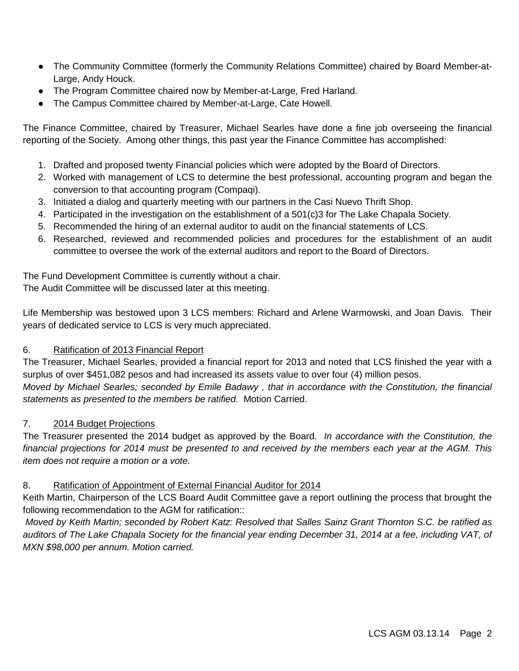- The Community Committee (formerly the Community Relations Committee) chaired by Board Member-at-Large, Andy Houck.
- The Program Committee chaired now by Member-at-Large, Fred Harland.
- The Campus Committee chaired by Member-at-Large, Cate Howell.

The Finance Committee, chaired by Treasurer, Michael Searles have done a fine job overseeing the financial reporting of the Society. Among other things, this past year the Finance Committee has accomplished:

- 1. Drafted and proposed twenty Financial policies which were adopted by the Board of Directors.
- 2. Worked with management of LCS to determine the best professional, accounting program and began the conversion to that accounting program (Compaqi).
- 3. Initiated a dialog and quarterly meeting with our partners in the Casi Nuevo Thrift Shop.
- 4. Participated in the investigation on the establishment of a 501(c)3 for The Lake Chapala Society.
- 5. Recommended the hiring of an external auditor to audit on the financial statements of LCS.
- 6. Researched, reviewed and recommended policies and procedures for the establishment of an audit committee to oversee the work of the external auditors and report to the Board of Directors.

The Fund Development Committee is currently without a chair.

The Audit Committee will be discussed later at this meeting.

Life Membership was bestowed upon 3 LCS members: Richard and Arlene Warmowski, and Joan Davis. Their years of dedicated service to LCS is very much appreciated.

## 6. Ratification of 2013 Financial Report

The Treasurer, Michael Searles, provided a financial report for 2013 and noted that LCS finished the year with a surplus of over \$451,082 pesos and had increased its assets value to over four (4) million pesos. *Moved by Michael Searles; seconded by Emile Badawy , that in accordance with the Constitution, the financial statements as presented to the members be ratified.* Motion Carried.

## 7. 2014 Budget Projections

The Treasurer presented the 2014 budget as approved by the Board. *In accordance with the Constitution, the financial projections for 2014 must be presented to and received by the members each year at the AGM. This item does not require a motion or a vote.*

## 8. Ratification of Appointment of External Financial Auditor for 2014

Keith Martin, Chairperson of the LCS Board Audit Committee gave a report outlining the process that brought the following recommendation to the AGM for ratification::

*Moved by Keith Martin; seconded by Robert Katz: Resolved that Salles Sainz Grant Thornton S.C. be ratified as auditors of The Lake Chapala Society for the financial year ending December 31, 2014 at a fee, including VAT, of MXN \$98,000 per annum. Motion carried.*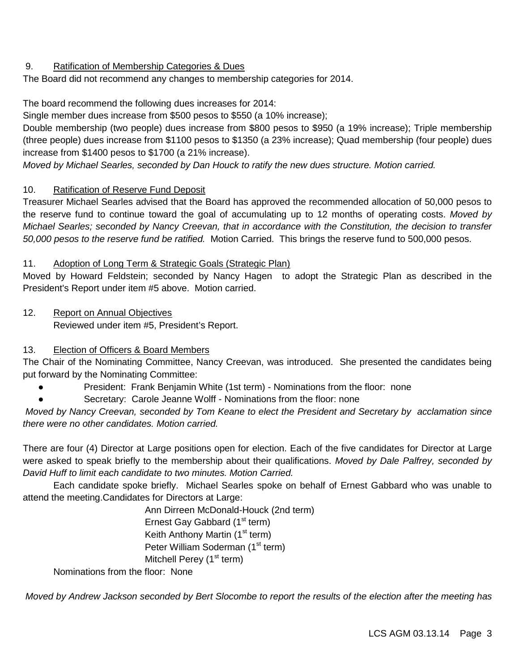### 9. Ratification of Membership Categories & Dues

The Board did not recommend any changes to membership categories for 2014.

The board recommend the following dues increases for 2014:

Single member dues increase from \$500 pesos to \$550 (a 10% increase);

Double membership (two people) dues increase from \$800 pesos to \$950 (a 19% increase); Triple membership (three people) dues increase from \$1100 pesos to \$1350 (a 23% increase); Quad membership (four people) dues increase from \$1400 pesos to \$1700 (a 21% increase).

*Moved by Michael Searles, seconded by Dan Houck to ratify the new dues structure. Motion carried.*

### 10. Ratification of Reserve Fund Deposit

Treasurer Michael Searles advised that the Board has approved the recommended allocation of 50,000 pesos to the reserve fund to continue toward the goal of accumulating up to 12 months of operating costs. *Moved by Michael Searles; seconded by Nancy Creevan, that in accordance with the Constitution, the decision to transfer 50,000 pesos to the reserve fund be ratified.* Motion Carried. This brings the reserve fund to 500,000 pesos.

### 11. Adoption of Long Term & Strategic Goals (Strategic Plan)

Moved by Howard Feldstein; seconded by Nancy Hagen to adopt the Strategic Plan as described in the President's Report under item #5 above. Motion carried.

12. Report on Annual Objectives Reviewed under item #5, President's Report.

## 13. Election of Officers & Board Members

The Chair of the Nominating Committee, Nancy Creevan, was introduced. She presented the candidates being put forward by the Nominating Committee:

- President: Frank Benjamin White (1st term) Nominations from the floor: none
- Secretary: Carole Jeanne Wolff Nominations from the floor: none

*Moved by Nancy Creevan, seconded by Tom Keane to elect the President and Secretary by acclamation since there were no other candidates. Motion carried.*

There are four (4) Director at Large positions open for election. Each of the five candidates for Director at Large were asked to speak briefly to the membership about their qualifications. *Moved by Dale Palfrey, seconded by David Huff to limit each candidate to two minutes. Motion Carried.*

 Each candidate spoke briefly. Michael Searles spoke on behalf of Ernest Gabbard who was unable to attend the meeting.Candidates for Directors at Large:

> Ann Dirreen McDonald-Houck (2nd term) Ernest Gay Gabbard  $(1<sup>st</sup> term)$ Keith Anthony Martin  $(1<sup>st</sup> term)$ Peter William Soderman (1<sup>st</sup> term) Mitchell Perey  $(1<sup>st</sup>$  term)

Nominations from the floor: None

*Moved by Andrew Jackson seconded by Bert Slocombe to report the results of the election after the meeting has*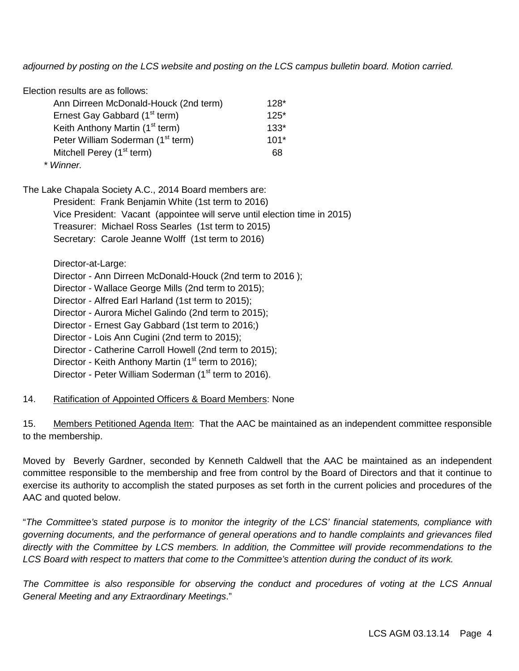*adjourned by posting on the LCS website and posting on the LCS campus bulletin board. Motion carried.*

| Election results are as follows:              |        |
|-----------------------------------------------|--------|
| Ann Dirreen McDonald-Houck (2nd term)         | $128*$ |
| Ernest Gay Gabbard (1 <sup>st</sup> term)     | $125*$ |
| Keith Anthony Martin (1 <sup>st</sup> term)   | $133*$ |
| Peter William Soderman (1 <sup>st</sup> term) | $101*$ |
| Mitchell Perey (1 <sup>st</sup> term)         | 68     |
| $\sim$ 14/2                                   |        |

*\* Winner.*

The Lake Chapala Society A.C., 2014 Board members are:

President: Frank Benjamin White (1st term to 2016)

Vice President: Vacant (appointee will serve until election time in 2015)

Treasurer: Michael Ross Searles (1st term to 2015)

Secretary: Carole Jeanne Wolff (1st term to 2016)

Director-at-Large:

Director - Ann Dirreen McDonald-Houck (2nd term to 2016 );

Director - Wallace George Mills (2nd term to 2015);

Director - Alfred Earl Harland (1st term to 2015);

Director - Aurora Michel Galindo (2nd term to 2015);

Director - Ernest Gay Gabbard (1st term to 2016;)

Director - Lois Ann Cugini (2nd term to 2015);

Director - Catherine Carroll Howell (2nd term to 2015);

Director - Keith Anthony Martin ( $1<sup>st</sup>$  term to 2016);

Director - Peter William Soderman (1<sup>st</sup> term to 2016).

### 14. Ratification of Appointed Officers & Board Members: None

15. Members Petitioned Agenda Item: That the AAC be maintained as an independent committee responsible to the membership.

Moved by Beverly Gardner, seconded by Kenneth Caldwell that the AAC be maintained as an independent committee responsible to the membership and free from control by the Board of Directors and that it continue to exercise its authority to accomplish the stated purposes as set forth in the current policies and procedures of the AAC and quoted below.

"*The Committee's stated purpose is to monitor the integrity of the LCS' financial statements, compliance with governing documents, and the performance of general operations and to handle complaints and grievances filed directly with the Committee by LCS members. In addition, the Committee will provide recommendations to the LCS Board with respect to matters that come to the Committee's attention during the conduct of its work.*

*The Committee is also responsible for observing the conduct and procedures of voting at the LCS Annual General Meeting and any Extraordinary Meetings*."